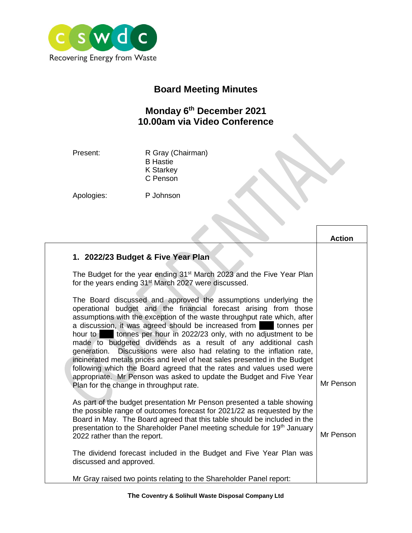

## **Board Meeting Minutes**

## **Monday 6 th December 2021 10.00am via Video Conference**

Present: R Gray (Chairman) B Hastie K Starkey C Penson

Apologies: P Johnson

| 1. 2022/23 Budget & Five Year Plan<br>The Budget for the year ending 31 <sup>st</sup> March 2023 and the Five Year Plan<br>for the years ending 31 <sup>st</sup> March 2027 were discussed.<br>The Board discussed and approved the assumptions underlying the<br>operational budget and the financial forecast arising from those<br>assumptions with the exception of the waste throughput rate which, after<br>a discussion, it was agreed should be increased from tonnes per<br>hour to tonnes per hour in 2022/23 only, with no adjustment to be<br>made to budgeted dividends as a result of any additional cash<br>Discussions were also had relating to the inflation rate,<br>generation.<br>incinerated metals prices and level of heat sales presented in the Budget<br>following which the Board agreed that the rates and values used were<br>appropriate. Mr Penson was asked to update the Budget and Five Year<br>Mr Penson<br>Plan for the change in throughput rate. |                                                                        | <b>Action</b> |
|-----------------------------------------------------------------------------------------------------------------------------------------------------------------------------------------------------------------------------------------------------------------------------------------------------------------------------------------------------------------------------------------------------------------------------------------------------------------------------------------------------------------------------------------------------------------------------------------------------------------------------------------------------------------------------------------------------------------------------------------------------------------------------------------------------------------------------------------------------------------------------------------------------------------------------------------------------------------------------------------|------------------------------------------------------------------------|---------------|
|                                                                                                                                                                                                                                                                                                                                                                                                                                                                                                                                                                                                                                                                                                                                                                                                                                                                                                                                                                                         |                                                                        |               |
|                                                                                                                                                                                                                                                                                                                                                                                                                                                                                                                                                                                                                                                                                                                                                                                                                                                                                                                                                                                         |                                                                        |               |
|                                                                                                                                                                                                                                                                                                                                                                                                                                                                                                                                                                                                                                                                                                                                                                                                                                                                                                                                                                                         |                                                                        |               |
| the possible range of outcomes forecast for 2021/22 as requested by the<br>Board in May. The Board agreed that this table should be included in the<br>presentation to the Shareholder Panel meeting schedule for 19th January<br>Mr Penson<br>2022 rather than the report.<br>The dividend forecast included in the Budget and Five Year Plan was                                                                                                                                                                                                                                                                                                                                                                                                                                                                                                                                                                                                                                      | As part of the budget presentation Mr Penson presented a table showing |               |
| discussed and approved.<br>Mr Gray raised two points relating to the Shareholder Panel report:                                                                                                                                                                                                                                                                                                                                                                                                                                                                                                                                                                                                                                                                                                                                                                                                                                                                                          |                                                                        |               |